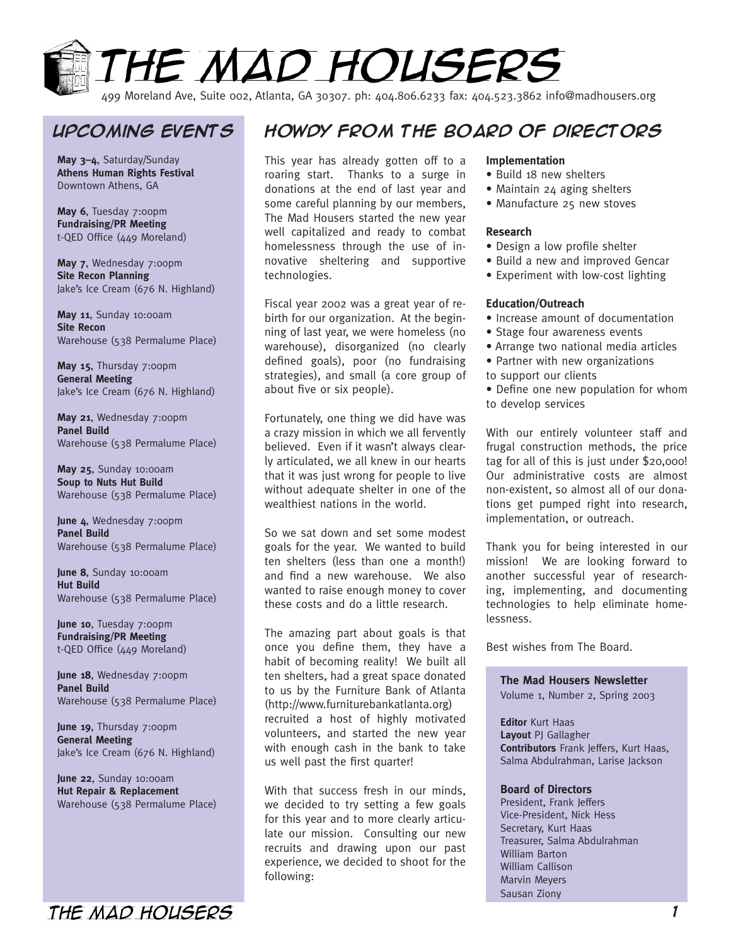

499 Moreland Ave, Suite 002, Atlanta, GA 30307. ph: 404.806.6233 fax: 404.523.3862 info@madhousers.org

**May 3–4**, Saturday/Sunday **Athens Human Rights Festival** Downtown Athens, GA

**May 6**, Tuesday 7:00pm **Fundraising/PR Meeting** t-QED Office (449 Moreland)

May 7, Wednesday 7:00pm **Site Recon Planning** Jake's Ice Cream (676 N. Highland)

**May 11**, Sunday 10:00am **Site Recon** Warehouse (538 Permalume Place)

**May 15**, Thursday 7:00pm **General Meeting** Jake's Ice Cream (676 N. Highland)

**May 21**, Wednesday 7:00pm **Panel Build** Warehouse (538 Permalume Place)

**May 25**, Sunday 10:00am **Soup to Nuts Hut Build** Warehouse (538 Permalume Place)

**June 4**, Wednesday 7:00pm **Panel Build** Warehouse (538 Permalume Place)

**June 8**, Sunday 10:00am **Hut Build** Warehouse (538 Permalume Place)

June 10, Tuesday 7:00pm **Fundraising/PR Meeting** t-QED Office (449 Moreland)

June 18, Wednesday 7:00pm **Panel Build** Warehouse (538 Permalume Place)

June 19, Thursday 7:00pm **General Meeting** Jake's Ice Cream (676 N. Highland)

**June 22**, Sunday 10:00am **Hut Repair & Replacement** Warehouse (538 Permalume Place)

## **Upcoming events Howdy from the Board of Directors**

This year has already gotten off to a roaring start. Thanks to a surge in donations at the end of last year and some careful planning by our members, The Mad Housers started the new year well capitalized and ready to combat homelessness through the use of innovative sheltering and supportive technologies.

Fiscal year 2002 was a great year of rebirth for our organization. At the beginning of last year, we were homeless (no warehouse), disorganized (no clearly defined goals), poor (no fundraising strategies), and small (a core group of about five or six people).

Fortunately, one thing we did have was a crazy mission in which we all fervently believed. Even if it wasn't always clearly articulated, we all knew in our hearts that it was just wrong for people to live without adequate shelter in one of the wealthiest nations in the world.

So we sat down and set some modest goals for the year. We wanted to build ten shelters (less than one a month!) and find a new warehouse. We also wanted to raise enough money to cover these costs and do a little research.

The amazing part about goals is that once you define them, they have a habit of becoming reality! We built all ten shelters, had a great space donated to us by the Furniture Bank of Atlanta (http://www.furniturebankatlanta.org) recruited a host of highly motivated volunteers, and started the new year with enough cash in the bank to take us well past the first quarter!

With that success fresh in our minds, we decided to try setting a few goals for this year and to more clearly articulate our mission. Consulting our new recruits and drawing upon our past experience, we decided to shoot for the following:

#### **Implementation**

- Build 18 new shelters
- Maintain 24 aging shelters
- Manufacture 25 new stoves

#### **Research**

- Design a low profile shelter
- Build a new and improved Gencar
- Experiment with low-cost lighting

#### **Education/Outreach**

- Increase amount of documentation
- Stage four awareness events
- Arrange two national media articles
- Partner with new organizations to support our clients
- Define one new population for whom to develop services

With our entirely volunteer staff and frugal construction methods, the price tag for all of this is just under \$20,000! Our administrative costs are almost non-existent, so almost all of our donations get pumped right into research, implementation, or outreach.

Thank you for being interested in our mission! We are looking forward to another successful year of researching, implementing, and documenting technologies to help eliminate homelessness.

Best wishes from The Board.

#### **The Mad Housers Newsletter**

Volume 1, Number 2, Spring 2003

**Editor** Kurt Haas **Layout** PJ Gallagher **Contributors** Frank Jeffers, Kurt Haas, Salma Abdulrahman, Larise Jackson

#### **Board of Directors**

President, Frank Jeffers Vice-President, Nick Hess Secretary, Kurt Haas Treasurer, Salma Abdulrahman William Barton William Callison Marvin Meyers Sausan Ziony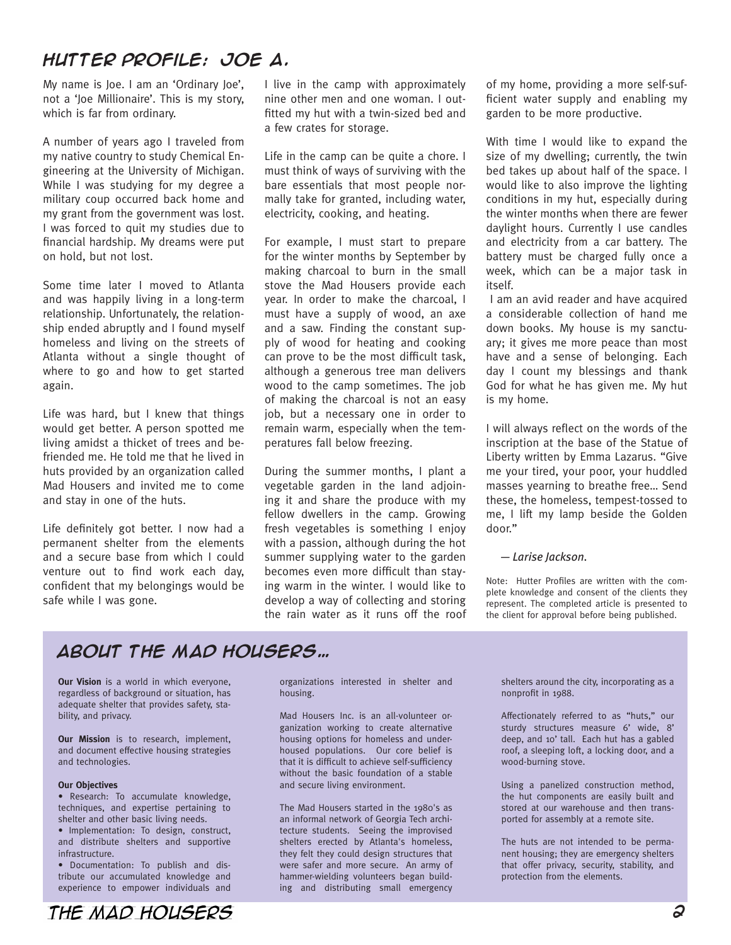### **Hutter Profile: Joe A.**

My name is Joe. I am an 'Ordinary Joe', not a 'Joe Millionaire'. This is my story, which is far from ordinary.

A number of years ago I traveled from my native country to study Chemical Engineering at the University of Michigan. While I was studying for my degree a military coup occurred back home and my grant from the government was lost. I was forced to quit my studies due to financial hardship. My dreams were put on hold, but not lost.

Some time later I moved to Atlanta and was happily living in a long-term relationship. Unfortunately, the relationship ended abruptly and I found myself homeless and living on the streets of Atlanta without a single thought of where to go and how to get started again.

Life was hard, but I knew that things would get better. A person spotted me living amidst a thicket of trees and befriended me. He told me that he lived in huts provided by an organization called Mad Housers and invited me to come and stay in one of the huts.

Life definitely got better. I now had a permanent shelter from the elements and a secure base from which I could venture out to find work each day, confident that my belongings would be safe while I was gone.

I live in the camp with approximately nine other men and one woman. I outfitted my hut with a twin-sized bed and a few crates for storage.

Life in the camp can be quite a chore. I must think of ways of surviving with the bare essentials that most people normally take for granted, including water, electricity, cooking, and heating.

For example, I must start to prepare for the winter months by September by making charcoal to burn in the small stove the Mad Housers provide each year. In order to make the charcoal, I must have a supply of wood, an axe and a saw. Finding the constant supply of wood for heating and cooking can prove to be the most difficult task, although a generous tree man delivers wood to the camp sometimes. The job of making the charcoal is not an easy job, but a necessary one in order to remain warm, especially when the temperatures fall below freezing.

During the summer months, I plant a vegetable garden in the land adjoining it and share the produce with my fellow dwellers in the camp. Growing fresh vegetables is something I enjoy with a passion, although during the hot summer supplying water to the garden becomes even more difficult than staying warm in the winter. I would like to develop a way of collecting and storing the rain water as it runs off the roof

of my home, providing a more self-sufficient water supply and enabling my garden to be more productive.

With time I would like to expand the size of my dwelling; currently, the twin bed takes up about half of the space. I would like to also improve the lighting conditions in my hut, especially during the winter months when there are fewer daylight hours. Currently I use candles and electricity from a car battery. The battery must be charged fully once a week, which can be a major task in itself.

 I am an avid reader and have acquired a considerable collection of hand me down books. My house is my sanctuary; it gives me more peace than most have and a sense of belonging. Each day I count my blessings and thank God for what he has given me. My hut is my home.

I will always reflect on the words of the inscription at the base of the Statue of Liberty written by Emma Lazarus. "Give me your tired, your poor, your huddled masses yearning to breathe free… Send these, the homeless, tempest-tossed to me, I lift my lamp beside the Golden door."

#### *— Larise Jackson.*

Note: Hutter Profiles are written with the complete knowledge and consent of the clients they represent. The completed article is presented to the client for approval before being published.

### **About the mad housers…**

**Our Vision** is a world in which everyone, regardless of background or situation, has adequate shelter that provides safety, stability, and privacy.

**Our Mission** is to research, implement, and document effective housing strategies and technologies.

#### **Our Objectives**

• Research: To accumulate knowledge, techniques, and expertise pertaining to shelter and other basic living needs.

• Implementation: To design, construct, and distribute shelters and supportive infrastructure.

• Documentation: To publish and distribute our accumulated knowledge and experience to empower individuals and

THE MAD HOUSERS

organizations interested in shelter and housing.

Mad Housers Inc. is an all-volunteer organization working to create alternative housing options for homeless and underhoused populations. Our core belief is that it is difficult to achieve self-sufficiency without the basic foundation of a stable and secure living environment.

The Mad Housers started in the 1980's as an informal network of Georgia Tech architecture students. Seeing the improvised shelters erected by Atlanta's homeless, they felt they could design structures that were safer and more secure. An army of hammer-wielding volunteers began building and distributing small emergency

shelters around the city, incorporating as a nonprofit in 1988.

Affectionately referred to as "huts," our sturdy structures measure 6' wide, 8' deep, and 10' tall. Each hut has a gabled roof, a sleeping loft, a locking door, and a wood-burning stove.

Using a panelized construction method, the hut components are easily built and stored at our warehouse and then transported for assembly at a remote site.

The huts are not intended to be permanent housing; they are emergency shelters that offer privacy, security, stability, and protection from the elements.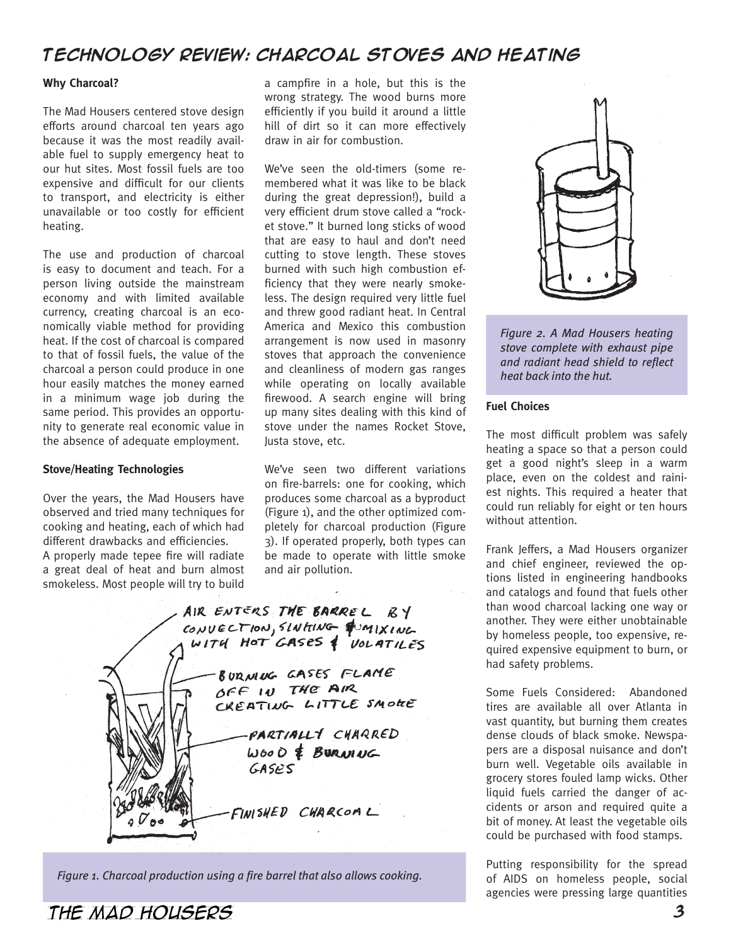### **Technology Review: Charcoal Stoves and Heating**

#### **Why Charcoal?**

The Mad Housers centered stove design efforts around charcoal ten years ago because it was the most readily available fuel to supply emergency heat to our hut sites. Most fossil fuels are too expensive and difficult for our clients to transport, and electricity is either unavailable or too costly for efficient heating.

The use and production of charcoal is easy to document and teach. For a person living outside the mainstream economy and with limited available currency, creating charcoal is an economically viable method for providing heat. If the cost of charcoal is compared to that of fossil fuels, the value of the charcoal a person could produce in one hour easily matches the money earned in a minimum wage job during the same period. This provides an opportunity to generate real economic value in the absence of adequate employment.

#### **Stove/Heating Technologies**

Over the years, the Mad Housers have observed and tried many techniques for cooking and heating, each of which had different drawbacks and efficiencies. A properly made tepee fire will radiate a great deal of heat and burn almost smokeless. Most people will try to build

a campfire in a hole, but this is the wrong strategy. The wood burns more efficiently if you build it around a little hill of dirt so it can more effectively draw in air for combustion.

We've seen the old-timers (some remembered what it was like to be black during the great depression!), build a very efficient drum stove called a "rocket stove." It burned long sticks of wood that are easy to haul and don't need cutting to stove length. These stoves burned with such high combustion efficiency that they were nearly smokeless. The design required very little fuel and threw good radiant heat. In Central America and Mexico this combustion arrangement is now used in masonry stoves that approach the convenience and cleanliness of modern gas ranges while operating on locally available firewood. A search engine will bring up many sites dealing with this kind of stove under the names Rocket Stove, Justa stove, etc.

We've seen two different variations on fire-barrels: one for cooking, which produces some charcoal as a byproduct (Figure 1), and the other optimized completely for charcoal production (Figure 3). If operated properly, both types can be made to operate with little smoke and air pollution.

AIR ENTERS THE BARREL BY CONVECTION, SLNHING CONIXING BURNING GASES FLAME OFF IN THE AIR CREATING LITTLE SMOKE PARTIALLY CHARRED  $WooO \notin B$ URNING GASPS FINISHED CHARCOML

*Figure 1. Charcoal production using a fire barrel that also allows cooking.*



*Figure 2. A Mad Housers heating stove complete with exhaust pipe and radiant head shield to reflect heat back into the hut.*

#### **Fuel Choices**

The most difficult problem was safely heating a space so that a person could get a good night's sleep in a warm place, even on the coldest and rainiest nights. This required a heater that could run reliably for eight or ten hours without attention.

Frank Jeffers, a Mad Housers organizer and chief engineer, reviewed the options listed in engineering handbooks and catalogs and found that fuels other than wood charcoal lacking one way or another. They were either unobtainable by homeless people, too expensive, required expensive equipment to burn, or had safety problems.

Some Fuels Considered: Abandoned tires are available all over Atlanta in vast quantity, but burning them creates dense clouds of black smoke. Newspapers are a disposal nuisance and don't burn well. Vegetable oils available in grocery stores fouled lamp wicks. Other liquid fuels carried the danger of accidents or arson and required quite a bit of money. At least the vegetable oils could be purchased with food stamps.

Putting responsibility for the spread of AIDS on homeless people, social agencies were pressing large quantities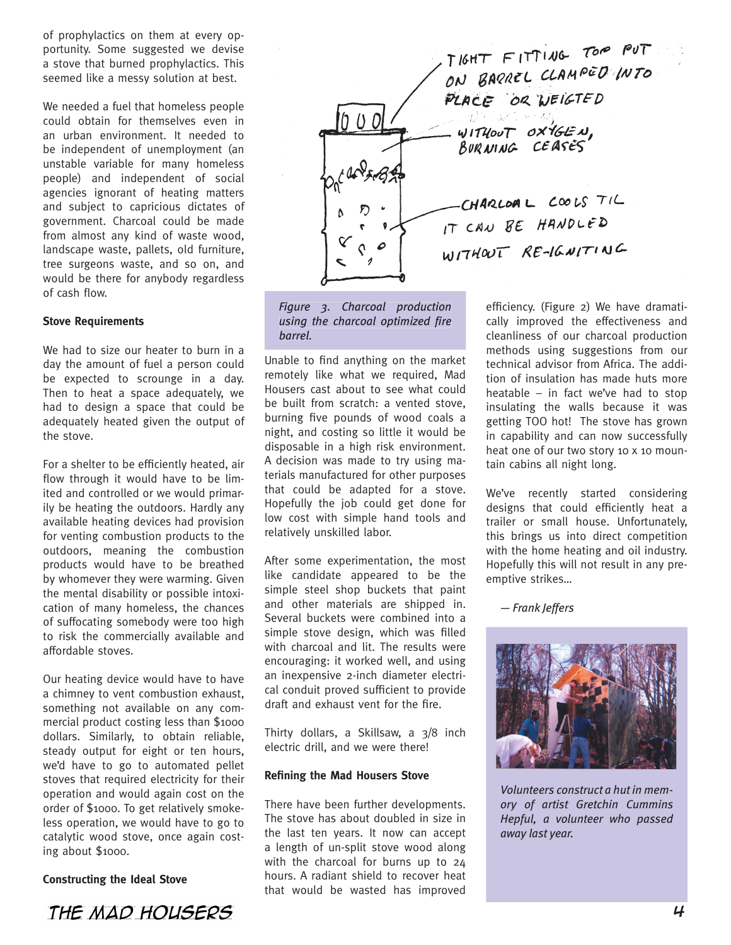of prophylactics on them at every opportunity. Some suggested we devise a stove that burned prophylactics. This seemed like a messy solution at best.

We needed a fuel that homeless people could obtain for themselves even in an urban environment. It needed to be independent of unemployment (an unstable variable for many homeless people) and independent of social agencies ignorant of heating matters and subject to capricious dictates of government. Charcoal could be made from almost any kind of waste wood, landscape waste, pallets, old furniture, tree surgeons waste, and so on, and would be there for anybody regardless of cash flow.

#### **Stove Requirements**

We had to size our heater to burn in a day the amount of fuel a person could be expected to scrounge in a day. Then to heat a space adequately, we had to design a space that could be adequately heated given the output of the stove.

For a shelter to be efficiently heated, air flow through it would have to be limited and controlled or we would primarily be heating the outdoors. Hardly any available heating devices had provision for venting combustion products to the outdoors, meaning the combustion products would have to be breathed by whomever they were warming. Given the mental disability or possible intoxication of many homeless, the chances of suffocating somebody were too high to risk the commercially available and affordable stoves.

Our heating device would have to have a chimney to vent combustion exhaust, something not available on any commercial product costing less than \$1000 dollars. Similarly, to obtain reliable, steady output for eight or ten hours, we'd have to go to automated pellet stoves that required electricity for their operation and would again cost on the order of \$1000. To get relatively smokeless operation, we would have to go to catalytic wood stove, once again costing about \$1000.

### **Constructing the Ideal Stove**





*Figure 3. Charcoal production using the charcoal optimized fire barrel.*

Unable to find anything on the market remotely like what we required, Mad Housers cast about to see what could be built from scratch: a vented stove, burning five pounds of wood coals a night, and costing so little it would be disposable in a high risk environment. A decision was made to try using materials manufactured for other purposes that could be adapted for a stove. Hopefully the job could get done for low cost with simple hand tools and relatively unskilled labor.

After some experimentation, the most like candidate appeared to be the simple steel shop buckets that paint and other materials are shipped in. Several buckets were combined into a simple stove design, which was filled with charcoal and lit. The results were encouraging: it worked well, and using an inexpensive 2-inch diameter electrical conduit proved sufficient to provide draft and exhaust vent for the fire.

Thirty dollars, a Skillsaw, a 3/8 inch electric drill, and we were there!

#### **Refining the Mad Housers Stove**

There have been further developments. The stove has about doubled in size in the last ten years. It now can accept a length of un-split stove wood along with the charcoal for burns up to 24 hours. A radiant shield to recover heat that would be wasted has improved

efficiency. (Figure 2) We have dramatically improved the effectiveness and cleanliness of our charcoal production methods using suggestions from our technical advisor from Africa. The addition of insulation has made huts more heatable – in fact we've had to stop insulating the walls because it was getting TOO hot! The stove has grown in capability and can now successfully heat one of our two story 10 x 10 mountain cabins all night long.

We've recently started considering designs that could efficiently heat a trailer or small house. Unfortunately, this brings us into direct competition with the home heating and oil industry. Hopefully this will not result in any preemptive strikes…

*— Frank Jeffers*



*Volunteers construct a hut in memory of artist Gretchin Cummins Hepful, a volunteer who passed away last year.*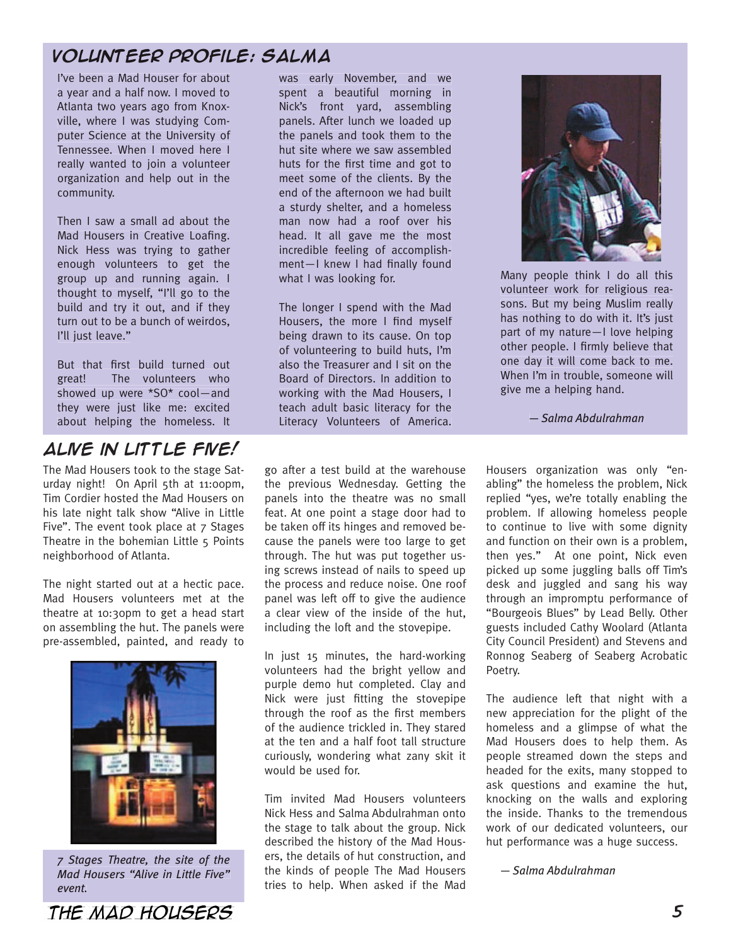### **Volunteer Profile: Salma**

I've been a Mad Houser for about a year and a half now. I moved to Atlanta two years ago from Knoxville, where I was studying Computer Science at the University of Tennessee. When I moved here I really wanted to join a volunteer organization and help out in the community.

Then I saw a small ad about the Mad Housers in Creative Loafing. Nick Hess was trying to gather enough volunteers to get the group up and running again. I thought to myself, "I'll go to the build and try it out, and if they turn out to be a bunch of weirdos, I'll just leave."

But that first build turned out great! The volunteers who showed up were \*SO\* cool—and they were just like me: excited about helping the homeless. It

### **Alive in Little Five!**

The Mad Housers took to the stage Saturday night! On April 5th at 11:00pm, Tim Cordier hosted the Mad Housers on his late night talk show "Alive in Little Five". The event took place at 7 Stages Theatre in the bohemian Little 5 Points neighborhood of Atlanta.

The night started out at a hectic pace. Mad Housers volunteers met at the theatre at 10:30pm to get a head start on assembling the hut. The panels were pre-assembled, painted, and ready to



*7 Stages Theatre, the site of the Mad Housers "Alive in Little Five" event.*

was early November, and we spent a beautiful morning in Nick's front yard, assembling panels. After lunch we loaded up the panels and took them to the hut site where we saw assembled huts for the first time and got to meet some of the clients. By the end of the afternoon we had built a sturdy shelter, and a homeless man now had a roof over his head. It all gave me the most incredible feeling of accomplishment-I knew I had finally found what I was looking for.

The longer I spend with the Mad Housers, the more I find myself being drawn to its cause. On top of volunteering to build huts, I'm also the Treasurer and I sit on the Board of Directors. In addition to working with the Mad Housers, I teach adult basic literacy for the Literacy Volunteers of America.

go after a test build at the warehouse the previous Wednesday. Getting the panels into the theatre was no small feat. At one point a stage door had to be taken off its hinges and removed because the panels were too large to get through. The hut was put together using screws instead of nails to speed up the process and reduce noise. One roof panel was left off to give the audience a clear view of the inside of the hut, including the loft and the stovepipe.

In just 15 minutes, the hard-working volunteers had the bright yellow and purple demo hut completed. Clay and Nick were just fitting the stovepipe through the roof as the first members of the audience trickled in. They stared at the ten and a half foot tall structure curiously, wondering what zany skit it would be used for.

Tim invited Mad Housers volunteers Nick Hess and Salma Abdulrahman onto the stage to talk about the group. Nick described the history of the Mad Housers, the details of hut construction, and the kinds of people The Mad Housers tries to help. When asked if the Mad



Many people think I do all this volunteer work for religious reasons. But my being Muslim really has nothing to do with it. It's just part of my nature—I love helping other people. I firmly believe that one day it will come back to me. When I'm in trouble, someone will give me a helping hand.

*— Salma Abdulrahman*

Housers organization was only "enabling" the homeless the problem, Nick replied "yes, we're totally enabling the problem. If allowing homeless people to continue to live with some dignity and function on their own is a problem, then yes." At one point, Nick even picked up some juggling balls off Tim's desk and juggled and sang his way through an impromptu performance of "Bourgeois Blues" by Lead Belly. Other guests included Cathy Woolard (Atlanta City Council President) and Stevens and Ronnog Seaberg of Seaberg Acrobatic Poetry.

The audience left that night with a new appreciation for the plight of the homeless and a glimpse of what the Mad Housers does to help them. As people streamed down the steps and headed for the exits, many stopped to ask questions and examine the hut, knocking on the walls and exploring the inside. Thanks to the tremendous work of our dedicated volunteers, our hut performance was a huge success.

*— Salma Abdulrahman*